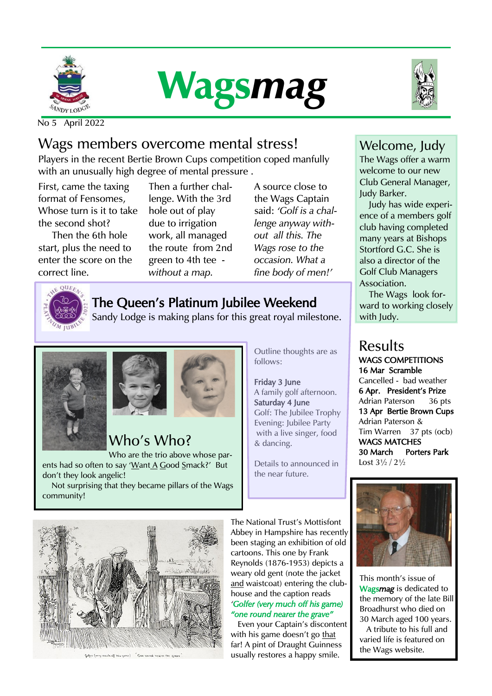





No 5 April 2022

### Wags members overcome mental stress!

Players in the recent Bertie Brown Cups competition coped manfully with an unusually high degree of mental pressure .

First, came the taxing format of Fensomes, Whose turn is it to take the second shot?

Then the 6th hole start, plus the need to enter the score on the correct line.

Then a further challenge. With the 3rd hole out of play due to irrigation work, all managed the route from 2nd green to 4th tee *without a map.* 

A source close to the Wags Captain said: *'Golf is a challenge anyway without all this. The Wags rose to the occasion. What a fine body of men!'* 

### The Queen's Platinum Jubilee Weekend

Sandy Lodge is making plans for this great royal milestone.





## Who's Who?

Who are the trio above whose parents had so often to say 'Want A Good Smack?' But don't they look angelic!

 Not surprising that they became pillars of the Wags community!

Outline thoughts are as follows:

Friday 3 June A family golf afternoon. Saturday 4 June Golf: The Jubilee Trophy Evening: Jubilee Party with a live singer, food & dancing.

Details to announced in the near future.

#### Welcome, Judy

The Wags offer a warm welcome to our new Club General Manager, Judy Barker.

Judy has wide experience of a members golf club having completed many years at Bishops Stortford G.C. She is also a director of the Golf Club Managers Association.

The Wags look forward to working closely with Judy.

# Results

WAGS COMPETITIONS 16 Mar Scramble Cancelled - bad weather 6 Apr. President's Prize Adrian Paterson 36 pts 13 Apr Bertie Brown Cups Adrian Paterson & Tim Warren 37 pts (ocb) WAGS MATCHES 30 March Porters Park Lost 3½ / 2½



This month's issue of Wags*mag* is dedicated to the memory of the late Bill Broadhurst who died on 30 March aged 100 years. A tribute to his full and

varied life is featured on the Wags website.



The National Trust's Mottisfont Abbey in Hampshire has recently been staging an exhibition of old cartoons. This one by Frank Reynolds (1876-1953) depicts a weary old gent (note the jacket and waistcoat) entering the clubhouse and the caption reads *'Golfer (very much off his game) "one round nearer the grave"*

Even your Captain's discontent with his game doesn't go that far! A pint of Draught Guinness usually restores a happy smile.